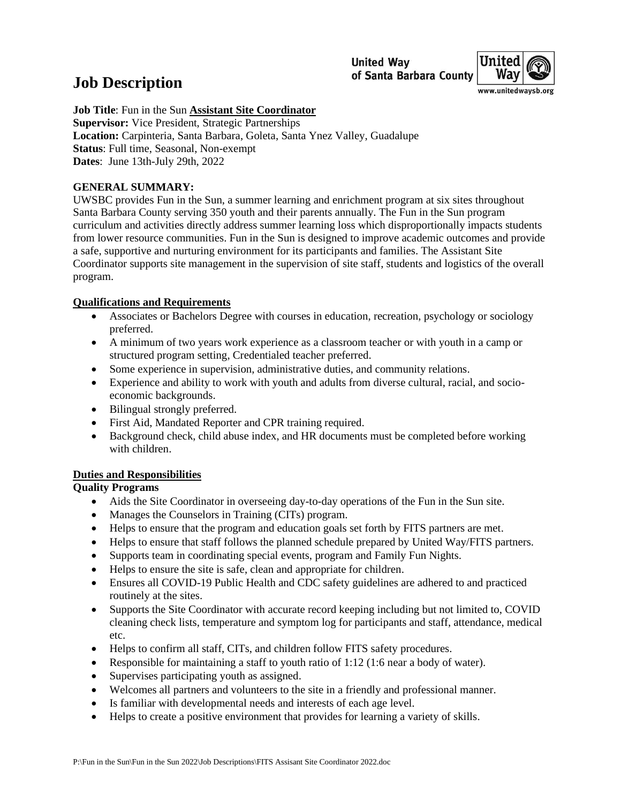**United Wav** of Santa Barbara County



# **Job Description**

**Job Title**: Fun in the Sun **Assistant Site Coordinator Supervisor:** Vice President, Strategic Partnerships **Location:** Carpinteria, Santa Barbara, Goleta, Santa Ynez Valley, Guadalupe **Status**: Full time, Seasonal, Non-exempt **Dates**: June 13th-July 29th, 2022

## **GENERAL SUMMARY:**

UWSBC provides Fun in the Sun, a summer learning and enrichment program at six sites throughout Santa Barbara County serving 350 youth and their parents annually. The Fun in the Sun program curriculum and activities directly address summer learning loss which disproportionally impacts students from lower resource communities. Fun in the Sun is designed to improve academic outcomes and provide a safe, supportive and nurturing environment for its participants and families. The Assistant Site Coordinator supports site management in the supervision of site staff, students and logistics of the overall program.

## **Qualifications and Requirements**

- Associates or Bachelors Degree with courses in education, recreation, psychology or sociology preferred.
- A minimum of two years work experience as a classroom teacher or with youth in a camp or structured program setting, Credentialed teacher preferred.
- Some experience in supervision, administrative duties, and community relations.
- Experience and ability to work with youth and adults from diverse cultural, racial, and socioeconomic backgrounds.
- Bilingual strongly preferred.
- First Aid, Mandated Reporter and CPR training required.
- Background check, child abuse index, and HR documents must be completed before working with children.

# **Duties and Responsibilities**

## **Quality Programs**

- Aids the Site Coordinator in overseeing day-to-day operations of the Fun in the Sun site.
- Manages the Counselors in Training (CITs) program.
- Helps to ensure that the program and education goals set forth by FITS partners are met.
- Helps to ensure that staff follows the planned schedule prepared by United Way/FITS partners.
- Supports team in coordinating special events, program and Family Fun Nights.
- Helps to ensure the site is safe, clean and appropriate for children.
- Ensures all COVID-19 Public Health and CDC safety guidelines are adhered to and practiced routinely at the sites.
- Supports the Site Coordinator with accurate record keeping including but not limited to, COVID cleaning check lists, temperature and symptom log for participants and staff, attendance, medical etc.
- Helps to confirm all staff, CITs, and children follow FITS safety procedures.
- Responsible for maintaining a staff to youth ratio of 1:12 (1:6 near a body of water).
- Supervises participating youth as assigned.
- Welcomes all partners and volunteers to the site in a friendly and professional manner.
- Is familiar with developmental needs and interests of each age level.
- Helps to create a positive environment that provides for learning a variety of skills.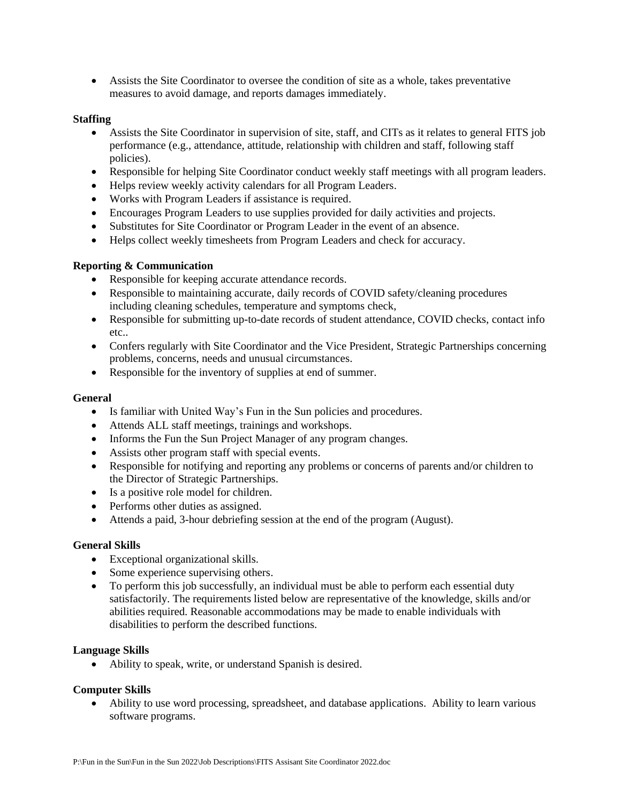• Assists the Site Coordinator to oversee the condition of site as a whole, takes preventative measures to avoid damage, and reports damages immediately.

#### **Staffing**

- Assists the Site Coordinator in supervision of site, staff, and CITs as it relates to general FITS job performance (e.g., attendance, attitude, relationship with children and staff, following staff policies).
- Responsible for helping Site Coordinator conduct weekly staff meetings with all program leaders.
- Helps review weekly activity calendars for all Program Leaders.
- Works with Program Leaders if assistance is required.
- Encourages Program Leaders to use supplies provided for daily activities and projects.
- Substitutes for Site Coordinator or Program Leader in the event of an absence.
- Helps collect weekly timesheets from Program Leaders and check for accuracy.

## **Reporting & Communication**

- Responsible for keeping accurate attendance records.
- Responsible to maintaining accurate, daily records of COVID safety/cleaning procedures including cleaning schedules, temperature and symptoms check,
- Responsible for submitting up-to-date records of student attendance, COVID checks, contact info etc..
- Confers regularly with Site Coordinator and the Vice President, Strategic Partnerships concerning problems, concerns, needs and unusual circumstances.
- Responsible for the inventory of supplies at end of summer.

## **General**

- Is familiar with United Way's Fun in the Sun policies and procedures.
- Attends ALL staff meetings, trainings and workshops.
- Informs the Fun the Sun Project Manager of any program changes.
- Assists other program staff with special events.
- Responsible for notifying and reporting any problems or concerns of parents and/or children to the Director of Strategic Partnerships.
- Is a positive role model for children.
- Performs other duties as assigned.
- Attends a paid, 3-hour debriefing session at the end of the program (August).

## **General Skills**

- Exceptional organizational skills.
- Some experience supervising others.
- To perform this job successfully, an individual must be able to perform each essential duty satisfactorily. The requirements listed below are representative of the knowledge, skills and/or abilities required. Reasonable accommodations may be made to enable individuals with disabilities to perform the described functions.

## **Language Skills**

• Ability to speak, write, or understand Spanish is desired.

## **Computer Skills**

• Ability to use word processing, spreadsheet, and database applications. Ability to learn various software programs.